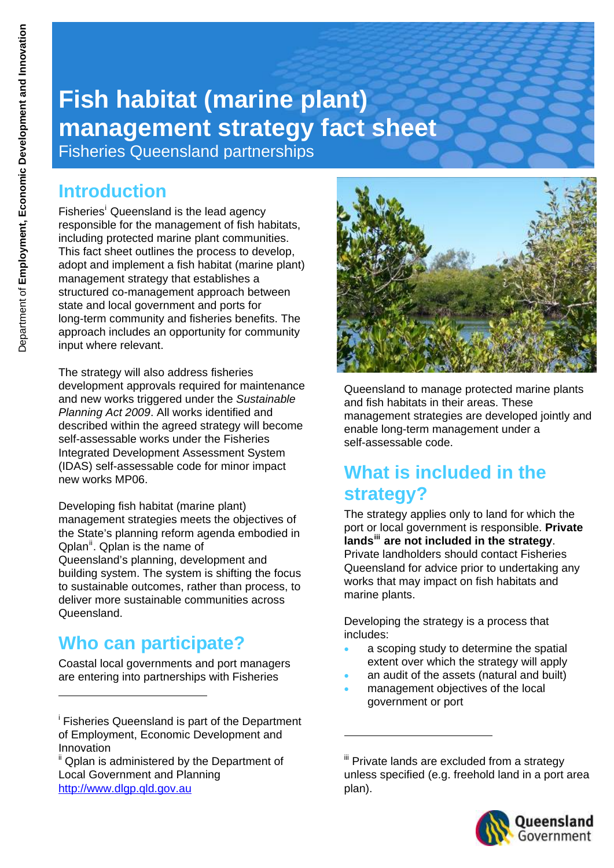# **Fish habitat (marine plant) management strategy fact sheet**

Fisheries Queensland partnerships

## **Introduction**

F[i](#page-0-0)sheries<sup>i</sup> Queensland is the lead agency responsible for the management of fish habitats, including protected marine plant communities. This fact sheet outlines the process to develop, adopt and implement a fish habitat (marine plant) management strategy that establishes a structured co-management approach between state and local government and ports for long-term community and fisheries benefits. The approach includes an opportunity for community input where relevant.

The strategy will also address fisheries development approvals required for maintenance and new works triggered under the *Sustainable Planning Act 2009*. All works identified and described within the agreed strategy will become self-assessable works under the Fisheries Integrated Development Assessment System (IDAS) self-assessable code for minor impact new works MP06.

Developing fish habitat (marine plant) management strategies meets the objectives of the State's planning reform agenda embodied in Qplan<sup>[ii](#page-0-1)</sup>. Qplan is the name of Queensland's planning, development and building system. The system is shifting the focus to sustainable outcomes, rather than process, to deliver more sustainable communities across Queensland.

# **Who can participate?**

Coastal local governments and port managers are entering into partnerships with Fisheries



Queensland to manage protected marine plants and fish habitats in their areas. These management strategies are developed jointly and enable long-term management under a self-assessable code.

# **What is included in the strategy?**

The strategy applies only to land for which the port or local government is responsible. **Private lands[iii](#page-0-1) are not included in the strategy**. Private landholders should contact Fisheries Queensland for advice prior to undertaking any works that may impact on fish habitats and marine plants.

Developing the strategy is a process that includes:

- a scoping study to determine the spatial extent over which the strategy will apply
- an audit of the assets (natural and built)
- management objectives of the local government or port

1

<sup>iii</sup> Private lands are excluded from a strategy unless specified (e.g. freehold land in a port area plan).



<span id="page-0-0"></span>i Fisheries Queensland is part of the Department of Employment, Economic Development and Innovation

<span id="page-0-1"></span><sup>&</sup>lt;sup>ii</sup> Qplan is administered by the Department of Local Government and Planning [http://www.dlgp.qld.gov.au](http://www.dlgp.qld.gov.au/)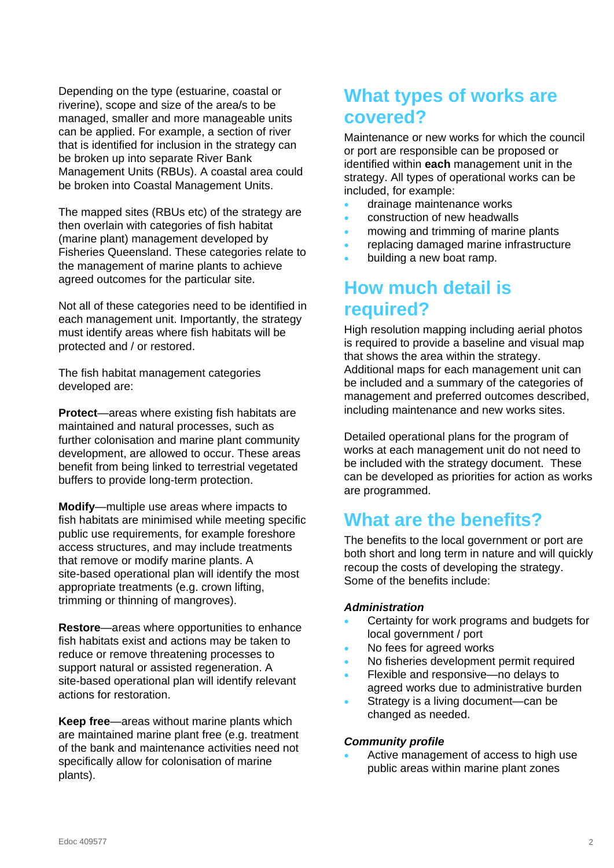Depending on the type (estuarine, coastal or riverine), scope and size of the area/s to be managed, smaller and more manageable units can be applied. For example, a section of river that is identified for inclusion in the strategy can be broken up into separate River Bank Management Units (RBUs). A coastal area could be broken into Coastal Management Units.

The mapped sites (RBUs etc) of the strategy are then overlain with categories of fish habitat (marine plant) management developed by Fisheries Queensland. These categories relate to the management of marine plants to achieve agreed outcomes for the particular site.

Not all of these categories need to be identified in each management unit. Importantly, the strategy must identify areas where fish habitats will be protected and / or restored.

The fish habitat management categories developed are:

**Protect**—areas where existing fish habitats are maintained and natural processes, such as further colonisation and marine plant community development, are allowed to occur. These areas benefit from being linked to terrestrial vegetated buffers to provide long-term protection.

**Modify**—multiple use areas where impacts to fish habitats are minimised while meeting specific public use requirements, for example foreshore access structures, and may include treatments that remove or modify marine plants. A site-based operational plan will identify the most appropriate treatments (e.g. crown lifting, trimming or thinning of mangroves).

**Restore**—areas where opportunities to enhance fish habitats exist and actions may be taken to reduce or remove threatening processes to support natural or assisted regeneration. A site-based operational plan will identify relevant actions for restoration.

**Keep free**—areas without marine plants which are maintained marine plant free (e.g. treatment of the bank and maintenance activities need not specifically allow for colonisation of marine plants).

# **What types of works are covered?**

Maintenance or new works for which the council or port are responsible can be proposed or identified within **each** management unit in the strategy. All types of operational works can be included, for example:

- drainage maintenance works
- construction of new headwalls
- mowing and trimming of marine plants
- replacing damaged marine infrastructure
- building a new boat ramp.

# **How much detail is required?**

High resolution mapping including aerial photos is required to provide a baseline and visual map that shows the area within the strategy. Additional maps for each management unit can be included and a summary of the categories of management and preferred outcomes described, including maintenance and new works sites.

Detailed operational plans for the program of works at each management unit do not need to be included with the strategy document. These can be developed as priorities for action as works are programmed.

# **What are the benefits?**

The benefits to the local government or port are both short and long term in nature and will quickly recoup the costs of developing the strategy. Some of the benefits include:

#### *Administration*

- Certainty for work programs and budgets for local government / port
- No fees for agreed works
- No fisheries development permit required
- Flexible and responsive—no delays to agreed works due to administrative burden
- Strategy is a living document—can be changed as needed.

#### *Community profile*

 Active management of access to high use public areas within marine plant zones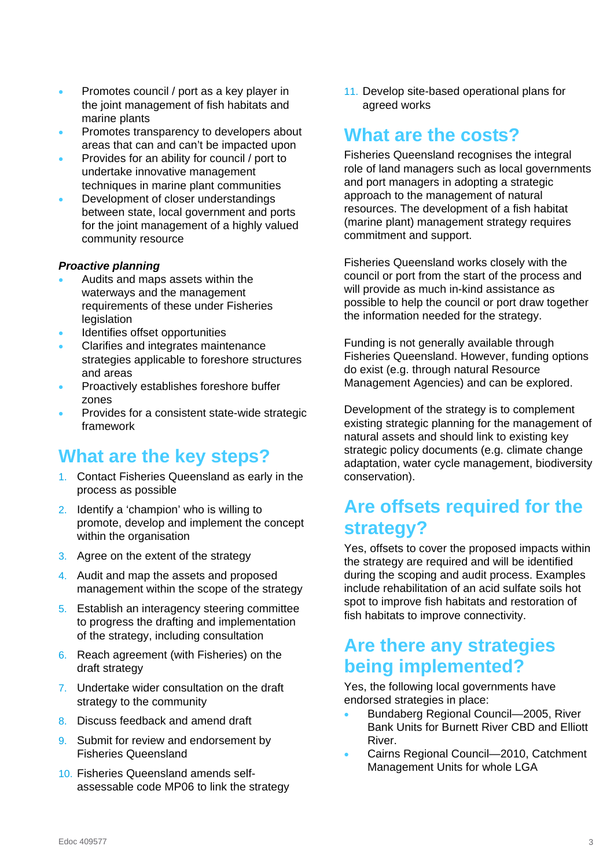- **•** Promotes council / port as a key player in the joint management of fish habitats and marine plants
- Promotes transparency to developers about areas that can and can't be impacted upon
- Provides for an ability for council / port to undertake innovative management techniques in marine plant communities
- Development of closer understandings between state, local government and ports for the joint management of a highly valued community resource

#### *Proactive planning*

- Audits and maps assets within the waterways and the management requirements of these under Fisheries legislation
- Identifies offset opportunities
- Clarifies and integrates maintenance strategies applicable to foreshore structures and areas
- Proactively establishes foreshore buffer zones
- Provides for a consistent state-wide strategic framework

### **What are the key steps?**

- 1. Contact Fisheries Queensland as early in the process as possible
- 2. Identify a 'champion' who is willing to promote, develop and implement the concept within the organisation
- 3. Agree on the extent of the strategy
- 4. Audit and map the assets and proposed management within the scope of the strategy
- 5. Establish an interagency steering committee to progress the drafting and implementation of the strategy, including consultation
- 6. Reach agreement (with Fisheries) on the draft strategy
- 7. Undertake wider consultation on the draft strategy to the community
- 8. Discuss feedback and amend draft
- 9. Submit for review and endorsement by Fisheries Queensland
- 10. Fisheries Queensland amends selfassessable code MP06 to link the strategy

11. Develop site-based operational plans for agreed works

### **What are the costs?**

Fisheries Queensland recognises the integral role of land managers such as local governments and port managers in adopting a strategic approach to the management of natural resources. The development of a fish habitat (marine plant) management strategy requires commitment and support.

Fisheries Queensland works closely with the council or port from the start of the process and will provide as much in-kind assistance as possible to help the council or port draw together the information needed for the strategy.

Funding is not generally available through Fisheries Queensland. However, funding options do exist (e.g. through natural Resource Management Agencies) and can be explored.

Development of the strategy is to complement existing strategic planning for the management of natural assets and should link to existing key strategic policy documents (e.g. climate change adaptation, water cycle management, biodiversity conservation).

# **Are offsets required for the strategy?**

Yes, offsets to cover the proposed impacts within the strategy are required and will be identified during the scoping and audit process. Examples include rehabilitation of an acid sulfate soils hot spot to improve fish habitats and restoration of fish habitats to improve connectivity.

### **Are there any strategies being implemented?**

Yes, the following local governments have endorsed strategies in place:

- Bundaberg Regional Council—2005, River Bank Units for Burnett River CBD and Elliott River.
- Cairns Regional Council—2010, Catchment Management Units for whole LGA